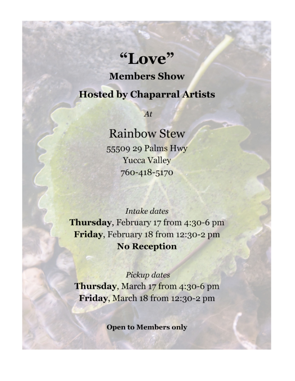## "Love"

**Members Show** 

## **Hosted by Chaparral Artists**

 $At$ 

## **Rainbow Stew**

55509 29 Palms Hwy **Yucca Valley** 760-418-5170

Intake dates Thursday, February 17 from 4:30-6 pm Friday, February 18 from 12:30-2 pm **No Reception** 

Pickup dates Thursday, March 17 from 4:30-6 pm Friday, March 18 from 12:30-2 pm

**Open to Members only**